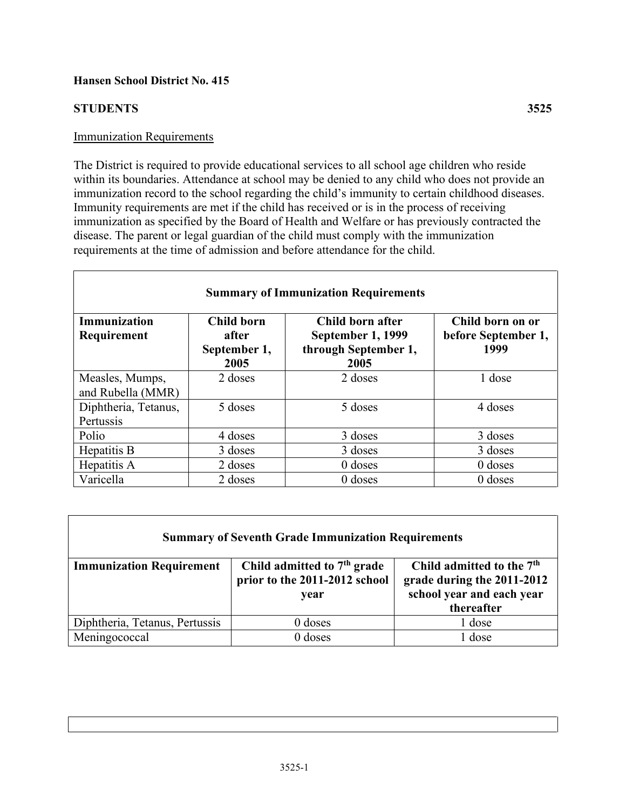## **Hansen School District No. 415**

# **STUDENTS 3525**

## Immunization Requirements

The District is required to provide educational services to all school age children who reside within its boundaries. Attendance at school may be denied to any child who does not provide an immunization record to the school regarding the child's immunity to certain childhood diseases. Immunity requirements are met if the child has received or is in the process of receiving immunization as specified by the Board of Health and Welfare or has previously contracted the disease. The parent or legal guardian of the child must comply with the immunization requirements at the time of admission and before attendance for the child.

| <b>Summary of Immunization Requirements</b> |                                                    |                                                                       |                                                 |  |  |
|---------------------------------------------|----------------------------------------------------|-----------------------------------------------------------------------|-------------------------------------------------|--|--|
| <b>Immunization</b><br>Requirement          | <b>Child born</b><br>after<br>September 1,<br>2005 | Child born after<br>September 1, 1999<br>through September 1,<br>2005 | Child born on or<br>before September 1,<br>1999 |  |  |
| Measles, Mumps,<br>and Rubella (MMR)        | 2 doses                                            | 2 doses                                                               | 1 dose                                          |  |  |
| Diphtheria, Tetanus,<br>Pertussis           | 5 doses                                            | 5 doses                                                               | 4 doses                                         |  |  |
| Polio                                       | 4 doses                                            | 3 doses                                                               | 3 doses                                         |  |  |
| Hepatitis B                                 | 3 doses                                            | 3 doses                                                               | 3 doses                                         |  |  |
| Hepatitis A                                 | 2 doses                                            | $0$ doses                                                             | $0$ doses                                       |  |  |
| Varicella                                   | 2 doses                                            | $0$ doses                                                             | $0$ doses                                       |  |  |

| <b>Summary of Seventh Grade Immunization Requirements</b> |                                                                        |                                                                                                                |  |  |
|-----------------------------------------------------------|------------------------------------------------------------------------|----------------------------------------------------------------------------------------------------------------|--|--|
| <b>Immunization Requirement</b>                           | Child admitted to $7th$ grade<br>prior to the 2011-2012 school<br>year | Child admitted to the 7 <sup>th</sup><br>grade during the 2011-2012<br>school year and each year<br>thereafter |  |  |
| Diphtheria, Tetanus, Pertussis                            | $0$ doses                                                              | 1 dose                                                                                                         |  |  |
| Meningococcal                                             | $0$ doses                                                              | 1 dose                                                                                                         |  |  |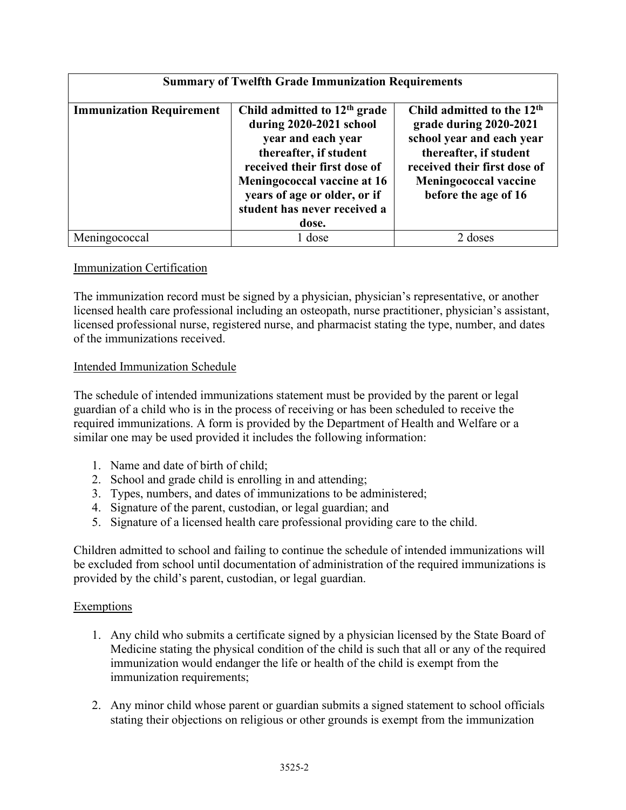| <b>Summary of Twelfth Grade Immunization Requirements</b> |                                                                                                                                                                                                                                                   |                                                                                                                                                                                                                 |  |  |
|-----------------------------------------------------------|---------------------------------------------------------------------------------------------------------------------------------------------------------------------------------------------------------------------------------------------------|-----------------------------------------------------------------------------------------------------------------------------------------------------------------------------------------------------------------|--|--|
| <b>Immunization Requirement</b>                           | Child admitted to $12th$ grade<br>during 2020-2021 school<br>year and each year<br>thereafter, if student<br>received their first dose of<br>Meningococcal vaccine at 16<br>years of age or older, or if<br>student has never received a<br>dose. | Child admitted to the 12 <sup>th</sup><br>grade during 2020-2021<br>school year and each year<br>thereafter, if student<br>received their first dose of<br><b>Meningococcal vaccine</b><br>before the age of 16 |  |  |
| Meningococcal                                             | 1 dose                                                                                                                                                                                                                                            | 2 doses                                                                                                                                                                                                         |  |  |

## Immunization Certification

The immunization record must be signed by a physician, physician's representative, or another licensed health care professional including an osteopath, nurse practitioner, physician's assistant, licensed professional nurse, registered nurse, and pharmacist stating the type, number, and dates of the immunizations received.

## Intended Immunization Schedule

The schedule of intended immunizations statement must be provided by the parent or legal guardian of a child who is in the process of receiving or has been scheduled to receive the required immunizations. A form is provided by the Department of Health and Welfare or a similar one may be used provided it includes the following information:

- 1. Name and date of birth of child;
- 2. School and grade child is enrolling in and attending;
- 3. Types, numbers, and dates of immunizations to be administered;
- 4. Signature of the parent, custodian, or legal guardian; and
- 5. Signature of a licensed health care professional providing care to the child.

Children admitted to school and failing to continue the schedule of intended immunizations will be excluded from school until documentation of administration of the required immunizations is provided by the child's parent, custodian, or legal guardian.

#### Exemptions

- 1. Any child who submits a certificate signed by a physician licensed by the State Board of Medicine stating the physical condition of the child is such that all or any of the required immunization would endanger the life or health of the child is exempt from the immunization requirements;
- 2. Any minor child whose parent or guardian submits a signed statement to school officials stating their objections on religious or other grounds is exempt from the immunization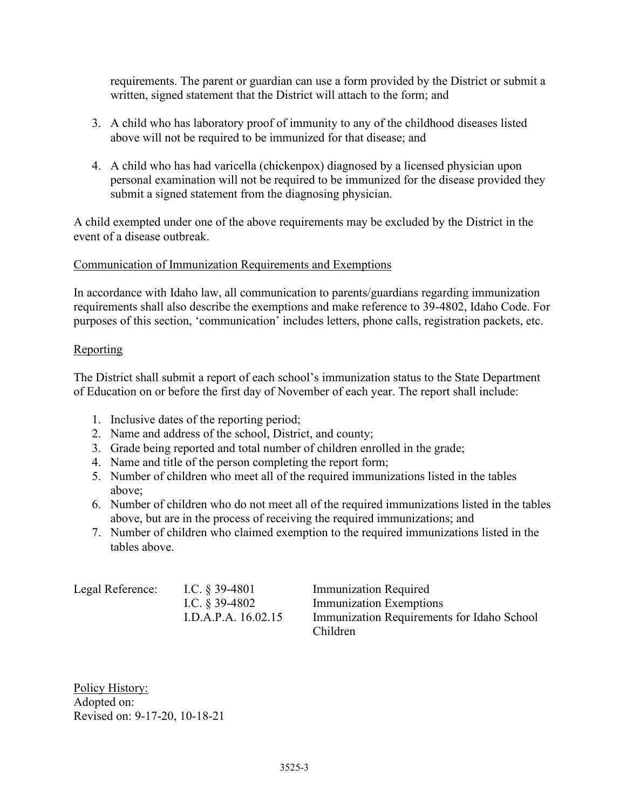requirements. The parent or guardian can use a form provided by the District or submit a written, signed statement that the District will attach to the form; and

- 3. A child who has laboratory proof of immunity to any of the childhood diseases listed above will not be required to be immunized for that disease; and
- 4. A child who has had varicella (chickenpox) diagnosed by a licensed physician upon personal examination will not be required to be immunized for the disease provided they submit a signed statement from the diagnosing physician.

A child exempted under one of the above requirements may be excluded by the District in the event of a disease outbreak.

## Communication of Immunization Requirements and Exemptions

In accordance with Idaho law, all communication to parents/guardians regarding immunization requirements shall also describe the exemptions and make reference to 39-4802, Idaho Code. For purposes of this section, 'communication' includes letters, phone calls, registration packets, etc.

#### Reporting

The District shall submit a report of each school's immunization status to the State Department of Education on or before the first day of November of each year. The report shall include:

- 1. Inclusive dates of the reporting period;
- 2. Name and address of the school, District, and county;
- 3. Grade being reported and total number of children enrolled in the grade;
- 4. Name and title of the person completing the report form;
- 5. Number of children who meet all of the required immunizations listed in the tables above;
- 6. Number of children who do not meet all of the required immunizations listed in the tables above, but are in the process of receiving the required immunizations; and
- 7. Number of children who claimed exemption to the required immunizations listed in the tables above.

| Legal Reference: | I.C. $\S$ 39-4801   | <b>Immunization Required</b>               |
|------------------|---------------------|--------------------------------------------|
|                  | I.C. $\S$ 39-4802   | Immunization Exemptions                    |
|                  | I.D.A.P.A. 16.02.15 | Immunization Requirements for Idaho School |
|                  |                     | Children                                   |

Policy History: Adopted on: Revised on: 9-17-20, 10-18-21